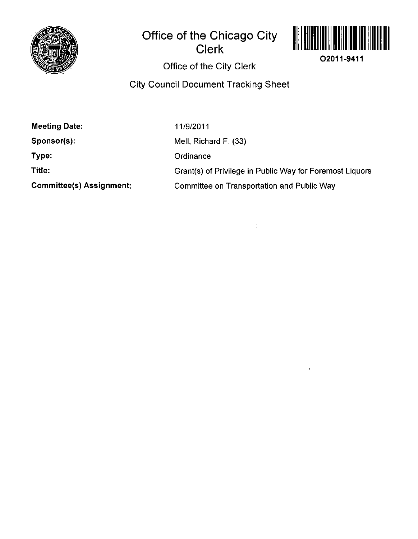

## **Office of the Chicago City Clerk**



**O2011-9411** 

Office of the City Clerk

City Council Document Tracking Sheet

Meeting Date:

Sponsor(s):

Type:

Title:

Committee(s) Assignment:

11/9/2011

Mell, Richard F. (33)

**Ordinance** 

Grant(s) of Privilege in Public Way for Foremost Liquors

Committee on Transportation and Public Way

 $\frac{1}{4}$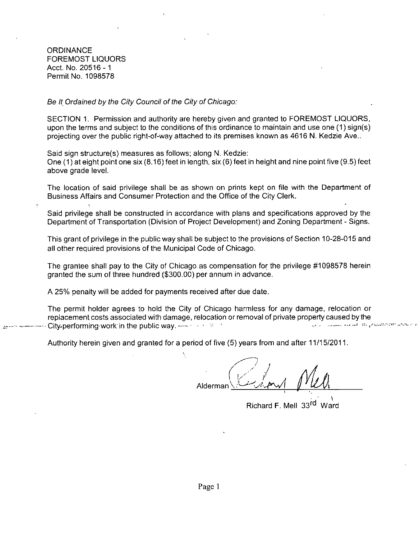**ORDINANCE** FOREMOST LIQUORS Acct. No. 20516-1 Permit No. 1098578

Be It Ordained by the City Council of the City of Chicago:

SECTION 1. Permission and authority are hereby given and granted to FOREMOST LIQUORS, upon the terms and subject to the conditions of this ordinance to maintain and use one (1) sign(s) projecting over the public right-of-way attached to its premises known as 4616 N. Kedzie Ave..

Said sign structure(s) measures as follows; along N. Kedzie: One (1) at eight point one six (8.16) feet in length, six (6) feet in height and nine pointfive (9.5) feet above grade level.

The location of said privilege shall be as shown on prints kept on file with the Department of Business Affairs and Consumer Protection and the Office of the City Clerk.

Said privilege shall be constructed in accordance with plans and specifications approved by the Department of Transportation (Division of Project Development) and Zoning Department - Signs.

This grant of privilege in the public way shall be subject to the provisions of Section 10-28-015 and all other required provisions of the Municipal Code of Chicago.

The grantee shall pay to the City of Chicago as compensation for the privilege #1098578 herein granted the sum of three hundred (\$300.00) per annum in advance.

A 25% penalty will be added for payments received after due date.

The permit holder agrees to hold the City of Chicago harmless for any damage, relocation or replacement costs associated with damage, relocation or removal of private property caused by the<br>City performing work in the public way, such as a starting of private property caused by the contractory position City.performing work in the public way.  $+$   $+$   $+$ 

Authority herein given and granted for a period of five (5) years from and after 11/15/2011.

**Alderman** 

Richard F. Mell 33rd Ward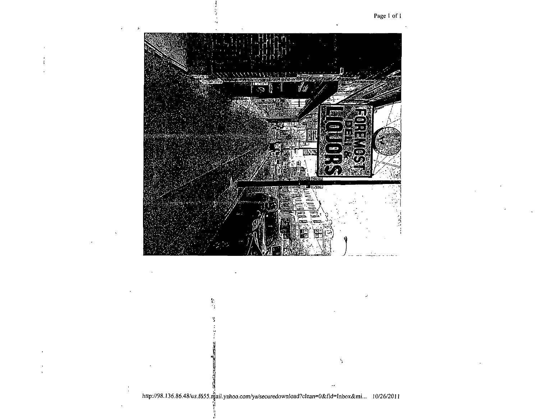



http://98.136.86.48/us.f655.mail.yahoo.com/ya/securedownload?clean=0&fid=Inbox&mi... 10/26/2011

 $\mathcal{I}_1$